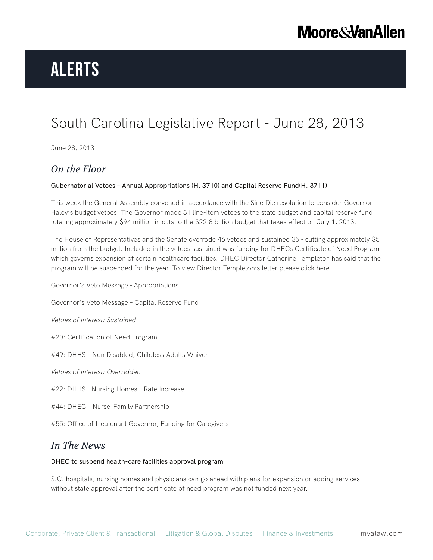# **Moore & Van Allen**

# **Alerts**

### South Carolina Legislative Report - June 28, 2013

June 28, 2013

### *On the Floor*

#### Gubernatorial Vetoes – Annual Appropriations (H. 3710) and Capital Reserve Fund(H. 3711)

This week the General Assembly convened in accordance with the Sine Die resolution to consider Governor Haley's budget vetoes. The Governor made 81 line-item vetoes to the state budget and capital reserve fund totaling approximately \$94 million in cuts to the \$22.8 billion budget that takes effect on July 1, 2013.

The House of Representatives and the Senate overrode 46 vetoes and sustained 35 - cutting approximately \$5 million from the budget. Included in the vetoes sustained was funding for DHECs Certificate of Need Program which governs expansion of certain healthcare facilities. DHEC Director Catherine Templeton has said that the program will be suspended for the year. To view Director Templeton's letter please click here.

Governor's Veto Message - Appropriations

Governor's Veto Message – Capital Reserve Fund

*Vetoes of Interest: Sustained*

- #20: Certification of Need Program
- #49: DHHS Non Disabled, Childless Adults Waiver

*Vetoes of Interest: Overridden*

#22: DHHS - Nursing Homes – Rate Increase

#44: DHEC – Nurse-Family Partnership

#55: Office of Lieutenant Governor, Funding for Caregivers

### *In The News*

#### DHEC to suspend health-care facilities approval program

S.C. hospitals, nursing homes and physicians can go ahead with plans for expansion or adding services without state approval after the certificate of need program was not funded next year.